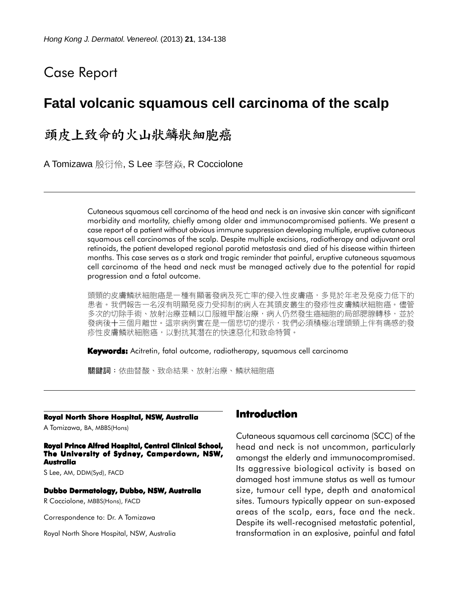# Case Report

# **Fatal volcanic squamous cell carcinoma of the scalp**

頭皮上致命的火山狀鱗狀細胞癌

A Tomizawa 殷衍伶, S Lee 李啓焱, R Cocciolone

Cutaneous squamous cell carcinoma of the head and neck is an invasive skin cancer with significant morbidity and mortality, chiefly among older and immunocompromised patients. We present a case report of a patient without obvious immune suppression developing multiple, eruptive cutaneous squamous cell carcinomas of the scalp. Despite multiple excisions, radiotherapy and adjuvant oral retinoids, the patient developed regional parotid metastasis and died of his disease within thirteen months. This case serves as a stark and tragic reminder that painful, eruptive cutaneous squamous cell carcinoma of the head and neck must be managed actively due to the potential for rapid progression and a fatal outcome.

頭頸的皮膚鱗狀細胞癌是一種有顯著發病及死亡率的侵入性皮膚癌,多見於年老及免疫力低下的 患者。我們報告一名沒有明顯免疫力受抑制的病人在其頭皮叢生的發疹性皮膚鱗狀細胞癌。儘管 多次的切除手術、放射治療並輔以口服維甲酸治療,病人仍然發生癌細胞的局部腮腺轉移,並於 發病後十三個月離世。這宗病例實在是一個悲切的提示,我們必須積極治理頭頸上伴有痛感的發 疹性皮膚鱗狀細胞癌,以對抗其潛在的快速惡化和致命特質。

**Keywords:** Acitretin, fatal outcome, radiotherapy, squamous cell carcinoma

關鍵詞:依曲替酸、致命結果、放射治療、鱗狀細胞癌

#### **Royal North Shore Hospital, NSW, Australia**

A Tomizawa, BA, MBBS(Hons)

**Royal Prince Alfred Hospital, Central Clinical School, The University of Sydney, Camperdown, NSW, Australia**

S Lee, AM, DDM(Syd), FACD

#### **Dubbo Dermatology, Dubbo, NSW, Australia**

R Cocciolone, MBBS(Hons), FACD

Correspondence to: Dr. A Tomizawa

Royal North Shore Hospital, NSW, Australia

## **Introduction**

Cutaneous squamous cell carcinoma (SCC) of the head and neck is not uncommon, particularly amongst the elderly and immunocompromised. Its aggressive biological activity is based on damaged host immune status as well as tumour size, tumour cell type, depth and anatomical sites. Tumours typically appear on sun-exposed areas of the scalp, ears, face and the neck. Despite its well-recognised metastatic potential, transformation in an explosive, painful and fatal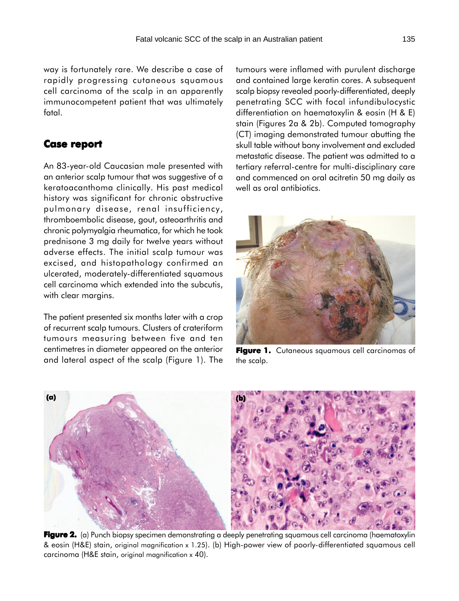way is fortunately rare. We describe a case of rapidly progressing cutaneous squamous cell carcinoma of the scalp in an apparently immunocompetent patient that was ultimately fatal.

### **Case report Case report**

An 83-year-old Caucasian male presented with an anterior scalp tumour that was suggestive of a keratoacanthoma clinically. His past medical history was significant for chronic obstructive pulmonary disease, renal insufficiency, thromboembolic disease, gout, osteoarthritis and chronic polymyalgia rheumatica, for which he took prednisone 3 mg daily for twelve years without adverse effects. The initial scalp tumour was excised, and histopathology confirmed an ulcerated, moderately-differentiated squamous cell carcinoma which extended into the subcutis, with clear margins.

The patient presented six months later with a crop of recurrent scalp tumours. Clusters of crateriform tumours measuring between five and ten centimetres in diameter appeared on the anterior and lateral aspect of the scalp (Figure 1). The

tumours were inflamed with purulent discharge and contained large keratin cores. A subsequent scalp biopsy revealed poorly-differentiated, deeply penetrating SCC with focal infundibulocystic differentiation on haematoxylin & eosin (H & E) stain (Figures 2a & 2b). Computed tomography (CT) imaging demonstrated tumour abutting the skull table without bony involvement and excluded metastatic disease. The patient was admitted to a tertiary referral-centre for multi-disciplinary care and commenced on oral acitretin 50 mg daily as well as oral antibiotics.



Figure 1. Cutaneous squamous cell carcinomas of the scalp.



**Figure 2. 2.** (a) Punch biopsy specimen demonstrating a deeply penetrating squamous cell carcinoma (haematoxylin & eosin (H&E) stain, original magnification x 1.25). (b) High-power view of poorly-differentiated squamous cell carcinoma (H&E stain, original magnification x 40).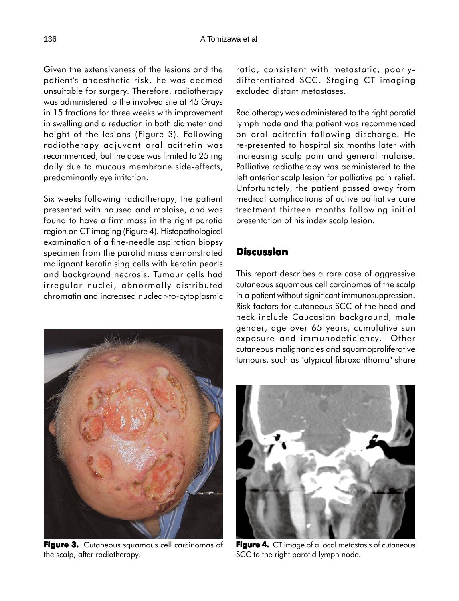Given the extensiveness of the lesions and the patient's anaesthetic risk, he was deemed unsuitable for surgery. Therefore, radiotherapy was administered to the involved site at 45 Grays in 15 fractions for three weeks with improvement in swelling and a reduction in both diameter and height of the lesions (Figure 3). Following radiotherapy adjuvant oral acitretin was recommenced, but the dose was limited to 25 mg daily due to mucous membrane side-effects, predominantly eye irritation.

Six weeks following radiotherapy, the patient presented with nausea and malaise, and was found to have a firm mass in the right parotid region on CT imaging (Figure 4). Histopathological examination of a fine-needle aspiration biopsy specimen from the parotid mass demonstrated malignant keratinising cells with keratin pearls and background necrosis. Tumour cells had irregular nuclei, abnormally distributed chromatin and increased nuclear-to-cytoplasmic



Figure 3. Cutaneous squamous cell carcinomas of the scalp, after radiotherapy.

ratio, consistent with metastatic, poorlydifferentiated SCC. Staging CT imaging excluded distant metastases.

Radiotherapy was administered to the right parotid lymph node and the patient was recommenced on oral acitretin following discharge. He re-presented to hospital six months later with increasing scalp pain and general malaise. Palliative radiotherapy was administered to the left anterior scalp lesion for palliative pain relief. Unfortunately, the patient passed away from medical complications of active palliative care treatment thirteen months following initial presentation of his index scalp lesion.

## **Discussion**

This report describes a rare case of aggressive cutaneous squamous cell carcinomas of the scalp in a patient without significant immunosuppression. Risk factors for cutaneous SCC of the head and neck include Caucasian background, male gender, age over 65 years, cumulative sun exposure and immunodeficiency.<sup>1</sup> Other cutaneous malignancies and squamoproliferative tumours, such as "atypical fibroxanthoma" share



Figure 4. CT image of a local metastasis of cutaneous SCC to the right parotid lymph node.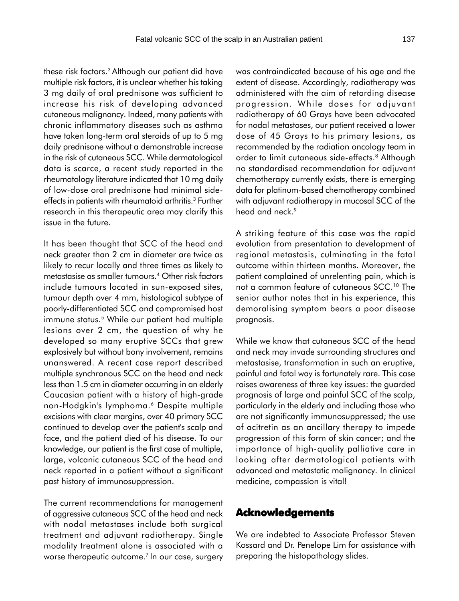these risk factors.2 Although our patient did have multiple risk factors, it is unclear whether his taking 3 mg daily of oral prednisone was sufficient to increase his risk of developing advanced cutaneous malignancy. Indeed, many patients with chronic inflammatory diseases such as asthma have taken long-term oral steroids of up to 5 mg daily prednisone without a demonstrable increase in the risk of cutaneous SCC. While dermatological data is scarce, a recent study reported in the rheumatology literature indicated that 10 mg daily of low-dose oral prednisone had minimal sideeffects in patients with rheumatoid arthritis.<sup>3</sup> Further research in this therapeutic area may clarify this issue in the future.

It has been thought that SCC of the head and neck greater than 2 cm in diameter are twice as likely to recur locally and three times as likely to metastasise as smaller tumours.4 Other risk factors include tumours located in sun-exposed sites, tumour depth over 4 mm, histological subtype of poorly-differentiated SCC and compromised host immune status.<sup>5</sup> While our patient had multiple lesions over 2 cm, the question of why he developed so many eruptive SCCs that grew explosively but without bony involvement, remains unanswered. A recent case report described multiple synchronous SCC on the head and neck less than 1.5 cm in diameter occurring in an elderly Caucasian patient with a history of high-grade non-Hodgkin's lymphoma.6 Despite multiple excisions with clear margins, over 40 primary SCC continued to develop over the patient's scalp and face, and the patient died of his disease. To our knowledge, our patient is the first case of multiple, large, volcanic cutaneous SCC of the head and neck reported in a patient without a significant past history of immunosuppression.

The current recommendations for management of aggressive cutaneous SCC of the head and neck with nodal metastases include both surgical treatment and adjuvant radiotherapy. Single modality treatment alone is associated with a worse therapeutic outcome.7 In our case, surgery

was contraindicated because of his age and the extent of disease. Accordingly, radiotherapy was administered with the aim of retarding disease progression. While doses for adjuvant radiotherapy of 60 Grays have been advocated for nodal metastases, our patient received a lower dose of 45 Grays to his primary lesions, as recommended by the radiation oncology team in order to limit cutaneous side-effects.<sup>8</sup> Although no standardised recommendation for adjuvant chemotherapy currently exists, there is emerging data for platinum-based chemotherapy combined with adjuvant radiotherapy in mucosal SCC of the head and neck.<sup>9</sup>

A striking feature of this case was the rapid evolution from presentation to development of regional metastasis, culminating in the fatal outcome within thirteen months. Moreover, the patient complained of unrelenting pain, which is not a common feature of cutaneous SCC.10 The senior author notes that in his experience, this demoralising symptom bears a poor disease prognosis.

While we know that cutaneous SCC of the head and neck may invade surrounding structures and metastasise, transformation in such an eruptive, painful and fatal way is fortunately rare. This case raises awareness of three key issues: the guarded prognosis of large and painful SCC of the scalp, particularly in the elderly and including those who are not significantly immunosuppressed; the use of acitretin as an ancillary therapy to impede progression of this form of skin cancer; and the importance of high-quality palliative care in looking after dermatological patients with advanced and metastatic malignancy. In clinical medicine, compassion is vital!

#### **Acknowledgements**

We are indebted to Associate Professor Steven Kossard and Dr. Penelope Lim for assistance with preparing the histopathology slides.